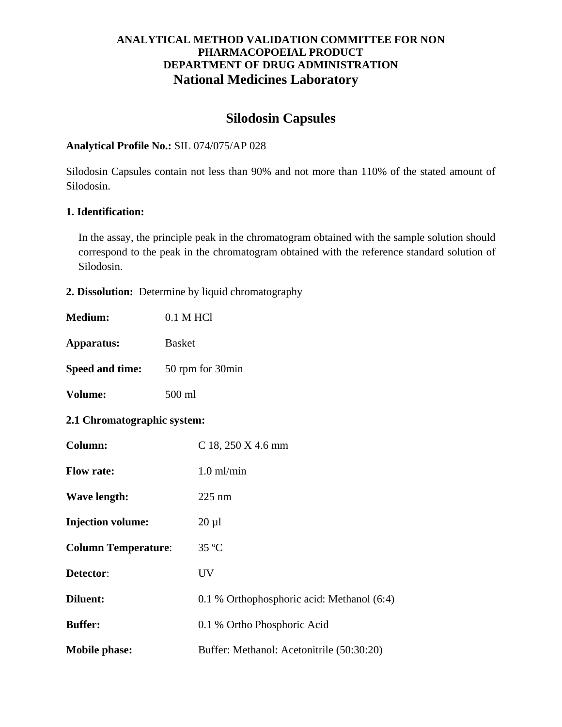# **Silodosin Capsules**

#### **Analytical Profile No.:** SIL 074/075/AP 028

Silodosin Capsules contain not less than 90% and not more than 110% of the stated amount of Silodosin.

#### **1. Identification:**

In the assay, the principle peak in the chromatogram obtained with the sample solution should correspond to the peak in the chromatogram obtained with the reference standard solution of Silodosin.

**2. Dissolution:** Determine by liquid chromatography

| <b>Medium:</b>              | 0.1 M HCl                                  |
|-----------------------------|--------------------------------------------|
| Apparatus:                  | <b>Basket</b>                              |
| <b>Speed and time:</b>      | 50 rpm for 30min                           |
| Volume:                     | 500 ml                                     |
| 2.1 Chromatographic system: |                                            |
| Column:                     | C 18, 250 X 4.6 mm                         |
| <b>Flow rate:</b>           | $1.0$ ml/min                               |
| <b>Wave length:</b>         | $225$ nm                                   |
| <b>Injection volume:</b>    | $20 \mu l$                                 |
| <b>Column Temperature:</b>  | 35 °C                                      |
| Detector:                   | <b>UV</b>                                  |
| <b>Diluent:</b>             | 0.1 % Orthophosphoric acid: Methanol (6:4) |
| <b>Buffer:</b>              | 0.1 % Ortho Phosphoric Acid                |
| <b>Mobile phase:</b>        | Buffer: Methanol: Acetonitrile (50:30:20)  |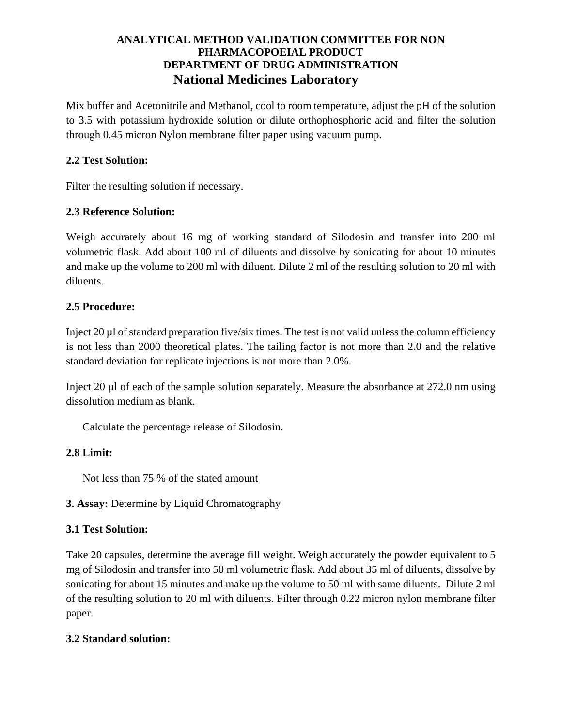Mix buffer and Acetonitrile and Methanol, cool to room temperature, adjust the pH of the solution to 3.5 with potassium hydroxide solution or dilute orthophosphoric acid and filter the solution through 0.45 micron Nylon membrane filter paper using vacuum pump.

#### **2.2 Test Solution:**

Filter the resulting solution if necessary.

## **2.3 Reference Solution:**

Weigh accurately about 16 mg of working standard of Silodosin and transfer into 200 ml volumetric flask. Add about 100 ml of diluents and dissolve by sonicating for about 10 minutes and make up the volume to 200 ml with diluent. Dilute 2 ml of the resulting solution to 20 ml with diluents.

## **2.5 Procedure:**

Inject 20 µl of standard preparation five/six times. The test is not valid unless the column efficiency is not less than 2000 theoretical plates. The tailing factor is not more than 2.0 and the relative standard deviation for replicate injections is not more than 2.0%.

Inject 20 µl of each of the sample solution separately. Measure the absorbance at 272.0 nm using dissolution medium as blank.

Calculate the percentage release of Silodosin.

# **2.8 Limit:**

Not less than 75 % of the stated amount

**3. Assay:** Determine by Liquid Chromatography

# **3.1 Test Solution:**

Take 20 capsules, determine the average fill weight. Weigh accurately the powder equivalent to 5 mg of Silodosin and transfer into 50 ml volumetric flask. Add about 35 ml of diluents, dissolve by sonicating for about 15 minutes and make up the volume to 50 ml with same diluents. Dilute 2 ml of the resulting solution to 20 ml with diluents. Filter through 0.22 micron nylon membrane filter paper.

#### **3.2 Standard solution:**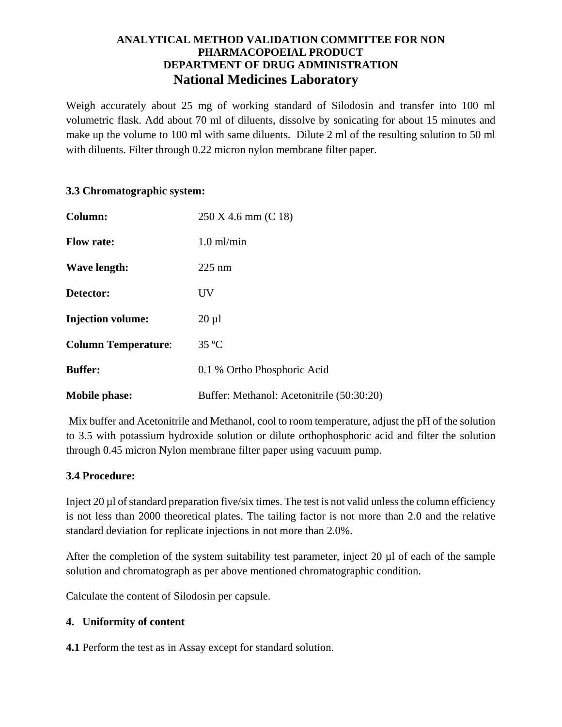Weigh accurately about 25 mg of working standard of Silodosin and transfer into 100 ml volumetric flask. Add about 70 ml of diluents, dissolve by sonicating for about 15 minutes and make up the volume to 100 ml with same diluents. Dilute 2 ml of the resulting solution to 50 ml with diluents. Filter through 0.22 micron nylon membrane filter paper.

#### **3.3 Chromatographic system:**

| Column:                    | 250 X 4.6 mm (C 18)                       |
|----------------------------|-------------------------------------------|
| <b>Flow rate:</b>          | $1.0$ ml/min                              |
| Wave length:               | $225 \text{ nm}$                          |
| Detector:                  | UV                                        |
| <b>Injection volume:</b>   | $20 \mu l$                                |
| <b>Column Temperature:</b> | $35^{\circ}$ C                            |
| <b>Buffer:</b>             | 0.1 % Ortho Phosphoric Acid               |
| <b>Mobile phase:</b>       | Buffer: Methanol: Acetonitrile (50:30:20) |

Mix buffer and Acetonitrile and Methanol, cool to room temperature, adjust the pH of the solution to 3.5 with potassium hydroxide solution or dilute orthophosphoric acid and filter the solution through 0.45 micron Nylon membrane filter paper using vacuum pump.

#### **3.4 Procedure:**

Inject 20 µl of standard preparation five/six times. The test is not valid unless the column efficiency is not less than 2000 theoretical plates. The tailing factor is not more than 2.0 and the relative standard deviation for replicate injections in not more than 2.0%.

After the completion of the system suitability test parameter, inject 20 µl of each of the sample solution and chromatograph as per above mentioned chromatographic condition.

Calculate the content of Silodosin per capsule.

#### **4. Uniformity of content**

**4.1** Perform the test as in Assay except for standard solution.